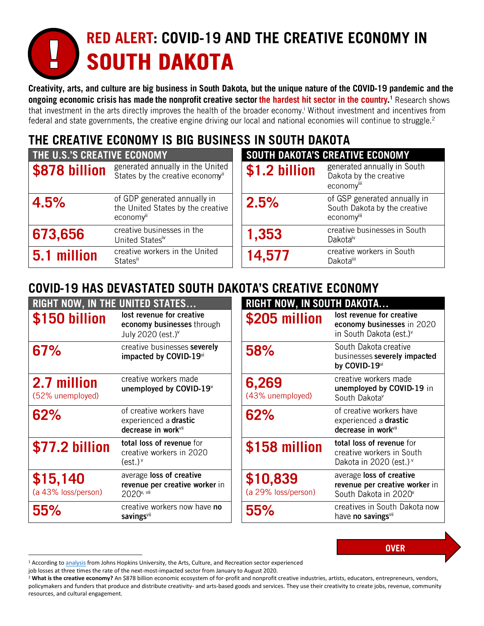# **RED ALERT: COVID-19 AND THE CREATIVE ECONOMY IN SOUTH DAKOTA**

Creativity, arts, and culture are big business in South Dakota, but the unique nature of the COVID-19 pandemic and the ongoing economic crisis has made the nonprofit creative sector the hardest hit sector in the country.<sup>1</sup> Research shows that investment in the arts directly improves the health of the broader economy.<sup>i</sup> Without investment and incentives from federal and state governments, the creative engine driving our local and national economies will continue to struggle.<sup>2</sup>

# THE CREATIVE ECONOMY IS BIG BUSINESS IN SOUTH DAKOTA

| <b>THE U.S.'S CREATIVE ECONOMY</b> |                                                                                | SOUTH DAKOTA'S CREATIVE ECONOMY |                                                                            |
|------------------------------------|--------------------------------------------------------------------------------|---------------------------------|----------------------------------------------------------------------------|
| \$878 billion                      | generated annually in the United<br>States by the creative economyii           | \$1.2 billion                   | generated annually in South<br>Dakota by the creative<br>economyiii        |
| 4.5%                               | of GDP generated annually in<br>the United States by the creative<br>economyii | 2.5%                            | of GSP generated annually in<br>South Dakota by the creative<br>economyiii |
| 673,656                            | creative businesses in the<br>United Statesiv                                  | 1,353                           | creative businesses in South<br>Dakota <sup>iv</sup>                       |
| 5.1 million                        | creative workers in the United<br><b>States</b> "                              | 14,577                          | creative workers in South<br><b>Dakota</b> iii                             |

# COVID-19 HAS DEVASTATED SOUTH DAKOTA'S CREATIVE ECONOMY

| <b>RIGHT NOW, IN THE UNITED STATES</b> |                                                                                          | <b>RIGHT NOW, IN SOUTH DAKOTA</b> |                                                                                                 |
|----------------------------------------|------------------------------------------------------------------------------------------|-----------------------------------|-------------------------------------------------------------------------------------------------|
| \$150 billion                          | lost revenue for creative<br>economy businesses through<br>July 2020 (est.) <sup>v</sup> | \$205 million                     | lost revenue for creative<br>economy businesses in 2020<br>in South Dakota (est.) <sup>v</sup>  |
| 67%                                    | creative businesses severely<br>impacted by COVID-19vi                                   | 58%                               | South Dakota creative<br>businesses severely impacted<br>by COVID-19vi                          |
| 2.7 million<br>(52% unemployed)        | creative workers made<br>unemployed by COVID-19 <sup>v</sup>                             | 6,269<br>(43% unemployed)         | creative workers made<br>unemployed by COVID-19 in<br>South Dakotav                             |
| 62%                                    | of creative workers have<br>experienced a drastic<br>decrease in work <sup>vii</sup>     | 62%                               | of creative workers have<br>experienced a drastic<br>decrease in work <sup>vii</sup>            |
| \$77.2 billion                         | total loss of revenue for<br>creative workers in 2020<br>$(est.)^{\vee}$                 | \$158 million                     | total loss of revenue for<br>creative workers in South<br>Dakota in 2020 (est.) <sup>v</sup>    |
| \$15,140<br>(a 43% loss/person)        | average loss of creative<br>revenue per creative worker in<br>2020 <sup>v, vii</sup>     | \$10,839<br>(a 29% loss/person)   | average loss of creative<br>revenue per creative worker in<br>South Dakota in 2020 <sup>v</sup> |
| 55%                                    | creative workers now have no<br>savingsvil                                               | 55%                               | creatives in South Dakota now<br>have no savingsvii                                             |

<sup>&</sup>lt;sup>1</sup> According t[o analysis](http://ccss.jhu.edu/wp-content/uploads/downloads/2020/10/NEWS-RELEASE-Sept-Jobs-Report_10-21-20.pdf) from Johns Hopkins University, the Arts, Culture, and Recreation sector experienced

job losses at three times the rate of the next-most-impacted sector from January to August 2020.

<sup>&</sup>lt;sup>2</sup> What is the creative economy? An \$878 billion economic ecosystem of for-profit and nonprofit creative industries, artists, educators, entrepreneurs, vendors, policymakers and funders that produce and distribute creativity- and arts-based goods and services. They use their creativity to create jobs, revenue, community resources, and cultural engagement.